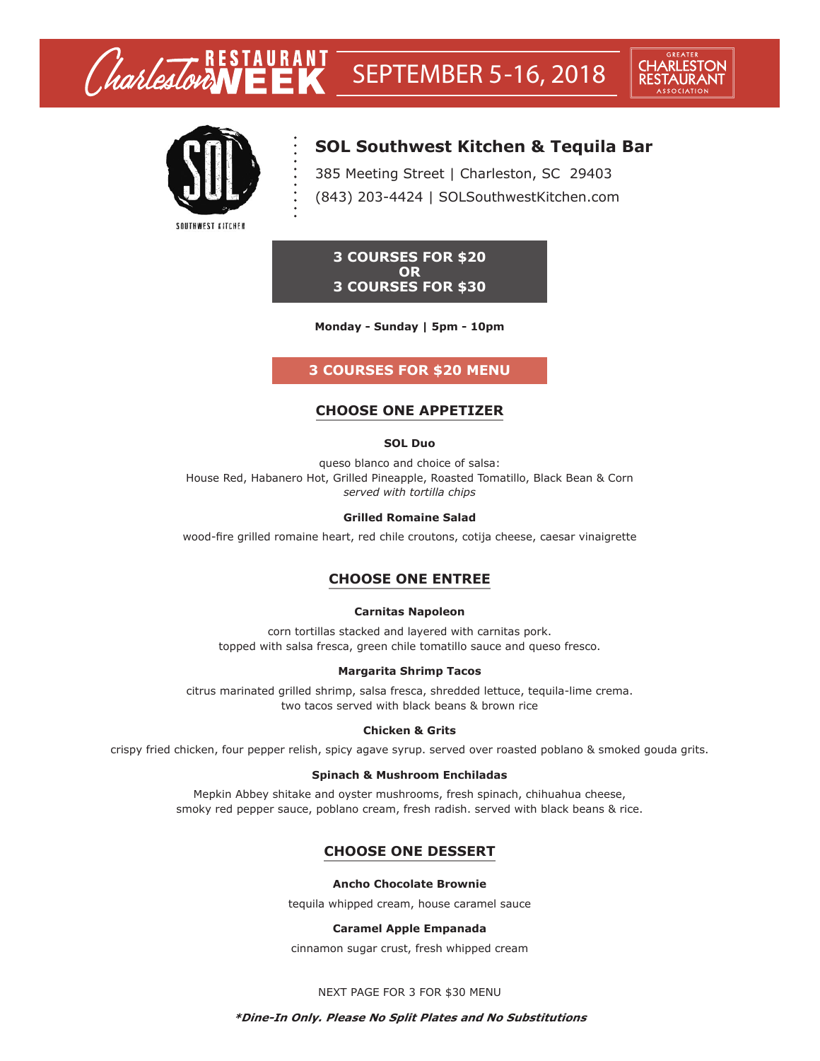

# **SOL Southwest Kitchen & Tequila Bar**

385 Meeting Street | Charleston, SC 29403 (843) 203-4424 | SOLSouthwestKitchen.com

**3 COURSES FOR \$20 OR 3 COURSES FOR \$30**

**Monday - Sunday | 5pm - 10pm**

# **3 COURSES FOR \$20 MENU**

# **CHOOSE ONE APPETIZER**

### **SOL Duo**

queso blanco and choice of salsa: House Red, Habanero Hot, Grilled Pineapple, Roasted Tomatillo, Black Bean & Corn *served with tortilla chips*

### **Grilled Romaine Salad**

wood-fire grilled romaine heart, red chile croutons, cotija cheese, caesar vinaigrette

# **CHOOSE ONE ENTREE**

### **Carnitas Napoleon**

corn tortillas stacked and layered with carnitas pork. topped with salsa fresca, green chile tomatillo sauce and queso fresco.

### **Margarita Shrimp Tacos**

citrus marinated grilled shrimp, salsa fresca, shredded lettuce, tequila-lime crema. two tacos served with black beans & brown rice

### **Chicken & Grits**

crispy fried chicken, four pepper relish, spicy agave syrup. served over roasted poblano & smoked gouda grits.

### **Spinach & Mushroom Enchiladas**

Mepkin Abbey shitake and oyster mushrooms, fresh spinach, chihuahua cheese, smoky red pepper sauce, poblano cream, fresh radish. served with black beans & rice.

# **CHOOSE ONE DESSERT**

### **Ancho Chocolate Brownie**

tequila whipped cream, house caramel sauce

## **Caramel Apple Empanada**

cinnamon sugar crust, fresh whipped cream

### NEXT PAGE FOR 3 FOR \$30 MENU

### **\*Dine-In Only. Please No Split Plates and No Substitutions**